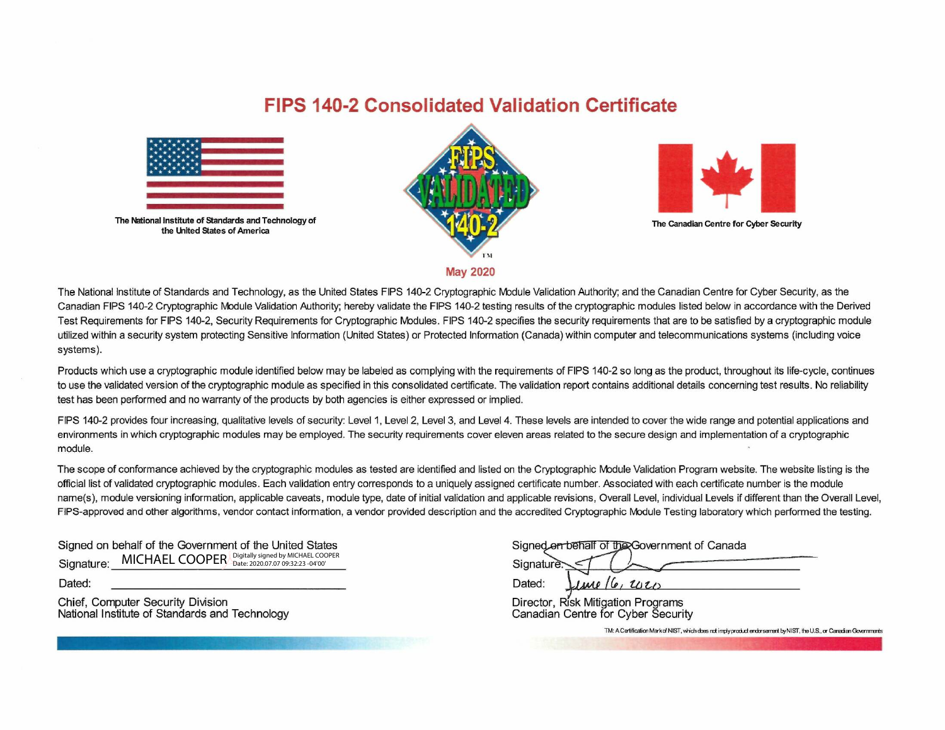## **FIPS 140-2 Consolidated Validation Certificate**



The National Institute of Standards and Technology of the United States of America





The Canadian Centre for Cyber Security

**May 2020**

The National Institute of Standards and Technology, as the United States FIPS 140-2 Cryptographic Module Validation Authority; and the Canadian Centre for Cyber Security, as the Canadian FIPS 140-2 Cryptographic Module Validation Authority; hereby validate the FIPS 140-2 testing results of the cryptographic modules listed below in accordance with the Derived Test Requirements for FIPS 140-2, Security Requirements for Cryptographic Modules. FIPS 140-2 specifies the security requirements that are to be satisfied by a cryptographic module utilized within a security system protecting Sensitive Information (United States) or Protected Information (Canada) within computer and telecommunications systems (including voice systems).

Products which use a cryptographic module identified below may be labeled as complying with the requirements of FIPS 140-2 so long as the product, throughout its life-cycle, continues to use the validated version of the cryptographic module as specified in this consolidated certificate. The validation report contains additional details concerning test results. No reliability test has been performed and no warranty of the products by both agencies is either expressed or implied.

FIPS 140-2 provides four increasing, qualitative levels of security: Level 1, Level 2, Level 3, and Level 4. These levels are intended to cover the wide range and potential applications and environments in which cryptographic modules may be employed. The security requirements cover eleven areas related to the secure design and implementation of a cryptographic module.

The scope of conformance achieved by the cryptographic modules as tested are identified and listed on the Cryptographic Module Validation Program website. The website listing is the official list of validated cryptographic modules. Each validation entry corresponds to a uniquely assigned certificate number. Associated with each certificate number is the module name(s), module versioning information, applicable caveats, module type, date of initial validation and applicable revisions, Overall Level, individual Levels if different than the Overall Level, FIPS-approved and other algorithms, vendor contact information, a vendor provided description and the accredited Cryptographic Module Testing laboratory which performed the testing.

Signed on behalf of the Government of the United States Signature: MICHAEL COOPER Digitally signed by MICHAEL COOPER

Dated:

Chief, Computer Security Division National Institute of Standards and Technology

|               | Signed on behalf of the Government of Canada |
|---------------|----------------------------------------------|
| Signature $<$ |                                              |

Director, Risk Mitigation Programs Canadian Centre for Cyber Security

Dated: *LIMP (e, U<sub>I</sub>T*)

1M: A Certification Mark of NIST, which does not imply product endorsement by NIST, the U.S., or Canadian Governments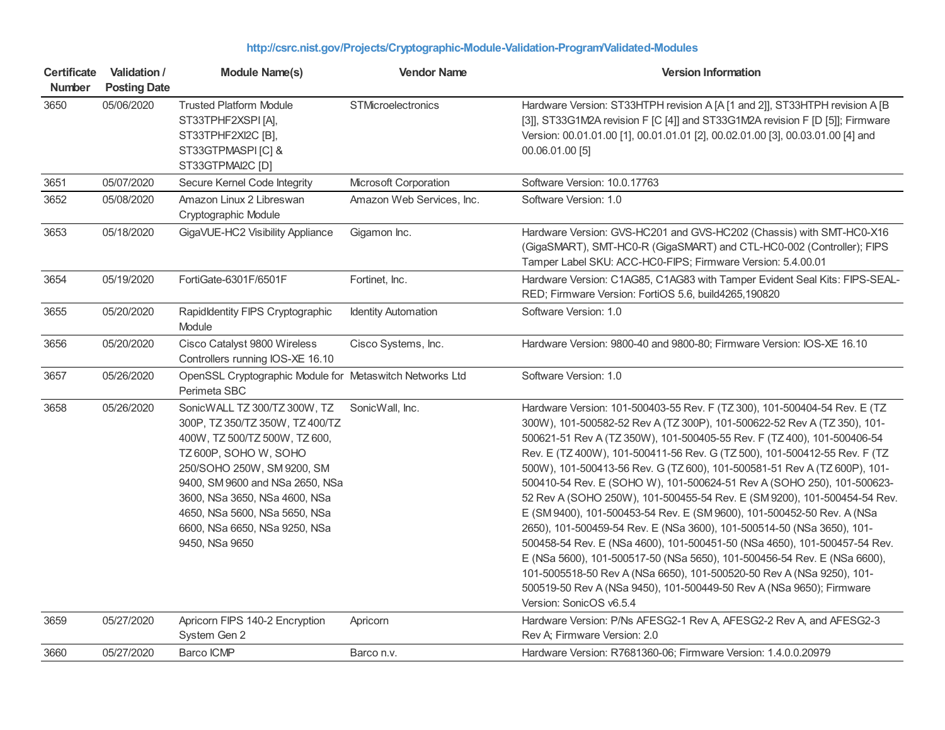## **<http://csrc.nist.gov/Projects/Cryptographic-Module-Validation-Program/Validated-Modules>**

| <b>Certificate</b><br><b>Number</b> | Validation /<br><b>Posting Date</b> | <b>Module Name(s)</b>                                                                                                                                                                                                                                                                                           | <b>Vendor Name</b>         | <b>Version Information</b>                                                                                                                                                                                                                                                                                                                                                                                                                                                                                                                                                                                                                                                                                                                                                                                                                                                                                                                                                                                                                |
|-------------------------------------|-------------------------------------|-----------------------------------------------------------------------------------------------------------------------------------------------------------------------------------------------------------------------------------------------------------------------------------------------------------------|----------------------------|-------------------------------------------------------------------------------------------------------------------------------------------------------------------------------------------------------------------------------------------------------------------------------------------------------------------------------------------------------------------------------------------------------------------------------------------------------------------------------------------------------------------------------------------------------------------------------------------------------------------------------------------------------------------------------------------------------------------------------------------------------------------------------------------------------------------------------------------------------------------------------------------------------------------------------------------------------------------------------------------------------------------------------------------|
| 3650                                | 05/06/2020                          | <b>Trusted Platform Module</b><br>ST33TPHF2XSPI[A],<br>ST33TPHF2XI2C [B],<br>ST33GTPMASPI [C] &<br>ST33GTPMAI2C [D]                                                                                                                                                                                             | STMicroelectronics         | Hardware Version: ST33HTPH revision A [A [1 and 2]], ST33HTPH revision A [B<br>[3]], ST33G1M2A revision F [C [4]] and ST33G1M2A revision F [D [5]]; Firmware<br>Version: 00.01.01.00 [1], 00.01.01.01 [2], 00.02.01.00 [3], 00.03.01.00 [4] and<br>00.06.01.00 [5]                                                                                                                                                                                                                                                                                                                                                                                                                                                                                                                                                                                                                                                                                                                                                                        |
| 3651                                | 05/07/2020                          | Secure Kernel Code Integrity                                                                                                                                                                                                                                                                                    | Microsoft Corporation      | Software Version: 10.0.17763                                                                                                                                                                                                                                                                                                                                                                                                                                                                                                                                                                                                                                                                                                                                                                                                                                                                                                                                                                                                              |
| 3652                                | 05/08/2020                          | Amazon Linux 2 Libreswan<br>Cryptographic Module                                                                                                                                                                                                                                                                | Amazon Web Services, Inc.  | Software Version: 1.0                                                                                                                                                                                                                                                                                                                                                                                                                                                                                                                                                                                                                                                                                                                                                                                                                                                                                                                                                                                                                     |
| 3653                                | 05/18/2020                          | GigaVUE-HC2 Visibility Appliance                                                                                                                                                                                                                                                                                | Gigamon Inc.               | Hardware Version: GVS-HC201 and GVS-HC202 (Chassis) with SMT-HC0-X16<br>(GigaSMART), SMT-HC0-R (GigaSMART) and CTL-HC0-002 (Controller); FIPS<br>Tamper Label SKU: ACC-HC0-FIPS; Firmware Version: 5.4.00.01                                                                                                                                                                                                                                                                                                                                                                                                                                                                                                                                                                                                                                                                                                                                                                                                                              |
| 3654                                | 05/19/2020                          | FortiGate-6301F/6501F                                                                                                                                                                                                                                                                                           | Fortinet, Inc.             | Hardware Version: C1AG85, C1AG83 with Tamper Evident Seal Kits: FIPS-SEAL-<br>RED; Firmware Version: FortiOS 5.6, build4265,190820                                                                                                                                                                                                                                                                                                                                                                                                                                                                                                                                                                                                                                                                                                                                                                                                                                                                                                        |
| 3655                                | 05/20/2020                          | Rapidldentity FIPS Cryptographic<br>Module                                                                                                                                                                                                                                                                      | <b>Identity Automation</b> | Software Version: 1.0                                                                                                                                                                                                                                                                                                                                                                                                                                                                                                                                                                                                                                                                                                                                                                                                                                                                                                                                                                                                                     |
| 3656                                | 05/20/2020                          | Cisco Catalyst 9800 Wireless<br>Controllers running IOS-XE 16.10                                                                                                                                                                                                                                                | Cisco Systems, Inc.        | Hardware Version: 9800-40 and 9800-80; Firmware Version: IOS-XE 16.10                                                                                                                                                                                                                                                                                                                                                                                                                                                                                                                                                                                                                                                                                                                                                                                                                                                                                                                                                                     |
| 3657                                | 05/26/2020                          | OpenSSL Cryptographic Module for Metaswitch Networks Ltd<br>Perimeta SBC                                                                                                                                                                                                                                        |                            | Software Version: 1.0                                                                                                                                                                                                                                                                                                                                                                                                                                                                                                                                                                                                                                                                                                                                                                                                                                                                                                                                                                                                                     |
| 3658                                | 05/26/2020                          | SonicWALL TZ 300/TZ 300W, TZ<br>300P, TZ 350/TZ 350W, TZ 400/TZ<br>400W, TZ 500/TZ 500W, TZ 600,<br>TZ 600P, SOHO W, SOHO<br>250/SOHO 250W, SM 9200, SM<br>9400, SM 9600 and NSa 2650, NSa<br>3600, NSa 3650, NSa 4600, NSa<br>4650, NSa 5600, NSa 5650, NSa<br>6600, NSa 6650, NSa 9250, NSa<br>9450, NSa 9650 | SonicWall, Inc.            | Hardware Version: 101-500403-55 Rev. F (TZ 300), 101-500404-54 Rev. E (TZ<br>300W), 101-500582-52 Rev A (TZ 300P), 101-500622-52 Rev A (TZ 350), 101-<br>500621-51 Rev A (TZ 350W), 101-500405-55 Rev. F (TZ 400), 101-500406-54<br>Rev. E (TZ 400W), 101-500411-56 Rev. G (TZ 500), 101-500412-55 Rev. F (TZ<br>500W), 101-500413-56 Rev. G (TZ 600), 101-500581-51 Rev A (TZ 600P), 101-<br>500410-54 Rev. E (SOHO W), 101-500624-51 Rev A (SOHO 250), 101-500623-<br>52 Rev A (SOHO 250W), 101-500455-54 Rev. E (SM 9200), 101-500454-54 Rev.<br>E (SM 9400), 101-500453-54 Rev. E (SM 9600), 101-500452-50 Rev. A (NSa<br>2650), 101-500459-54 Rev. E (NSa 3600), 101-500514-50 (NSa 3650), 101-<br>500458-54 Rev. E (NSa 4600), 101-500451-50 (NSa 4650), 101-500457-54 Rev.<br>E (NSa 5600), 101-500517-50 (NSa 5650), 101-500456-54 Rev. E (NSa 6600),<br>101-5005518-50 Rev A (NSa 6650), 101-500520-50 Rev A (NSa 9250), 101-<br>500519-50 Rev A (NSa 9450), 101-500449-50 Rev A (NSa 9650); Firmware<br>Version: SonicOS v6.5.4 |
| 3659                                | 05/27/2020                          | Apricorn FIPS 140-2 Encryption<br>System Gen 2                                                                                                                                                                                                                                                                  | Apricorn                   | Hardware Version: P/Ns AFESG2-1 Rev A, AFESG2-2 Rev A, and AFESG2-3<br>Rev A; Firmware Version: 2.0                                                                                                                                                                                                                                                                                                                                                                                                                                                                                                                                                                                                                                                                                                                                                                                                                                                                                                                                       |
| 3660                                | 05/27/2020                          | <b>Barco ICMP</b>                                                                                                                                                                                                                                                                                               | Barco n.v.                 | Hardware Version: R7681360-06; Firmware Version: 1.4.0.0.20979                                                                                                                                                                                                                                                                                                                                                                                                                                                                                                                                                                                                                                                                                                                                                                                                                                                                                                                                                                            |